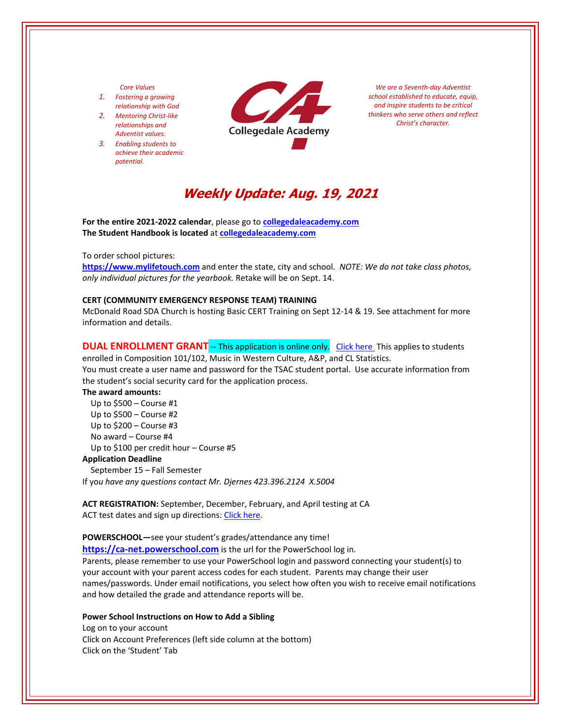# *Core Values*

- *1. Fostering a growing relationship with God*
- *2. Mentoring Christ‐like relationships and Adventist values.*
- *3. Enabling students to achieve their academic potential.*



*We are a Seventh‐day Adventist school established to educate, equip, and inspire students to be critical thinkers who serve others and reflect Christ's character.*

# **Weekly Update: Aug. 19, 2021**

**For the entire 2021‐2022 calendar**, please go to **[collegedaleacademy.com](https://www.collegedaleacademy.com/) The Student Handbook is located** at **[collegedaleacademy.com](https://www.collegedaleacademy.com/)**

### To order school pictures:

**[https://www.mylifetouch.com](https://my.lifetouch.com/mylifetouch/#/)** and enter the state, city and school.*NOTE: We do not take class photos, only individual pictures for the yearbook.* Retake will be on Sept. 14.

#### **CERT (COMMUNITY EMERGENCY RESPONSE TEAM) TRAINING**

McDonald Road SDA Church is hosting Basic CERT Training on Sept 12‐14 & 19. See attachment for more information and details.

# **DUAL ENROLLMENT GRANT** -- This application is online only. Click [here](https://www.tn.gov/collegepays/money-for-college/tn-education-lottery-programs/dual-enrollment-grant.html) This applies to students

enrolled in Composition 101/102, Music in Western Culture, A&P, and CL Statistics. You must create a user name and password for the TSAC student portal. Use accurate information from the student's social security card for the application process.

### **The award amounts:**

 Up to \$500 – Course #1 Up to \$500 – Course #2 Up to \$200 – Course #3 No award – Course #4 Up to \$100 per credit hour – Course #5

# **Application Deadline**

September 15 – Fall Semester

If yo*u have any questions contact Mr. Djernes 423.396.2124 X.5004*

**ACT REGISTRATION:** September, December, February, and April testing at CA ACT test dates and sign up directions: Click [here.](https://www.act.org/)

#### **POWERSCHOOL—**see your student's grades/attendance any time!

https://ca-[net.powerschool.com](https://ca-net.powerschool.com/public/) is the url for the PowerSchool log in. Parents, please remember to use your PowerSchool login and password connecting your student(s) to your account with your parent access codes for each student. Parents may change their user names/passwords. Under email notifications, you select how often you wish to receive email notifications and how detailed the grade and attendance reports will be.

### **Power School Instructions on How to Add a Sibling**

Log on to your account Click on Account Preferences (left side column at the bottom) Click on the 'Student' Tab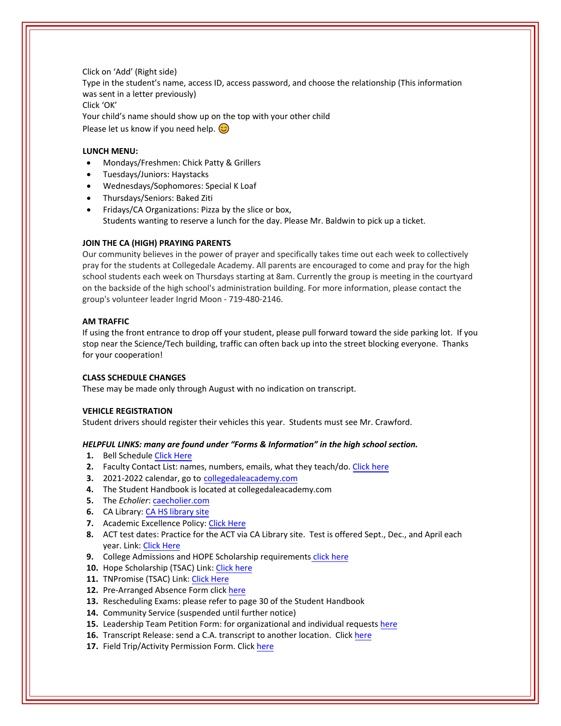Click on 'Add' (Right side) Type in the student's name, access ID, access password, and choose the relationship (This information was sent in a letter previously) Click 'OK' Your child's name should show up on the top with your other child Please let us know if you need help.  $\circled{c}$ 

# **LUNCH MENU:**

- Mondays/Freshmen: Chick Patty & Grillers
- Tuesdays/Juniors: Haystacks
- Wednesdays/Sophomores: Special K Loaf
- Thursdays/Seniors: Baked Ziti
- Fridays/CA Organizations: Pizza by the slice or box, Students wanting to reserve a lunch for the day. Please Mr. Baldwin to pick up a ticket.

# **JOIN THE CA (HIGH) PRAYING PARENTS**

Our community believes in the power of prayer and specifically takes time out each week to collectively pray for the students at Collegedale Academy. All parents are encouraged to come and pray for the high school students each week on Thursdays starting at 8am. Currently the group is meeting in the courtyard on the backside of the high school's administration building. For more information, please contact the group's volunteer leader Ingrid Moon ‐ 719‐480‐2146.

# **AM TRAFFIC**

If using the front entrance to drop off your student, please pull forward toward the side parking lot. If you stop near the Science/Tech building, traffic can often back up into the street blocking everyone. Thanks for your cooperation!

# **CLASS SCHEDULE CHANGES**

These may be made only through August with no indication on transcript.

# **VEHICLE REGISTRATION**

Student drivers should register their vehicles this year. Students must see Mr. Crawford.

# *HELPFUL LINKS: many are found under "Forms & Information" in the high school section.*

- **1.** Bell Schedule [Click Here](https://www.collegedaleacademy.com/wp-content/uploads/2018/08/Bell-Schedule.pdf)
- **2.** Faculty Contact List: names, numbers, emails, what they teach/do. [Click](https://www.collegedaleacademy.com/wp-content/uploads/2021/08/faculty-only-2021-2022.pdf) here
- **3.** 2021‐2022 calendar, go to [collegedaleacademy.com](https://www.collegedaleacademy.com/)
- **4.** The Student Handbook is located at collegedaleacademy.com
- **5.** The *Echolier*: [caecholier.com](https://caecholier.com/)
- **6.** CA Library: CA HS [library](https://southernuniongcc.mlasolutions.com/m5/catalog/(S(ud0s2cioqv2sseli3odwwrvk))/default.aspx?installation=CDA) site
- **7.** Academic Excellence Policy: Click [Here](https://www.collegedaleacademy.com/wp-content/uploads/2018/08/Academic-Excellence-Policy.pdf)
- **8.** ACT test dates: Practice for the ACT via CA Library site. Test is offered Sept., Dec., and April each year. Link: Click [Here](https://www.act.org/)
- **9.** College Admissions and HOPE Scholarship requirements click [here](https://www.collegedaleacademy.com/wp-content/uploads/2019/08/TSAC-Scholarship-Info.pdf)
- **10.** Hope Scholarship (TSAC) Link: Click [here](https://www.tn.gov/collegepays/money-for-college/tn-education-lottery-programs/tennessee-hope-scholarship.html)
- 11. TNPromise (TSAC) Link: Click [Here](https://www.tn.gov/tnpromise.html)
- 12. Pre-Arranged Absence Form click [here](https://www.collegedaleacademy.com/wp-content/uploads/2016/11/Class-Absence-Request-Form-May-2017.pdf)
- **13.** Rescheduling Exams: please refer to page 30 of the Student Handbook
- **14.** Community Service (suspended until further notice)
- **15.** Leadership Team Petition Form: for organizational and individual requests [here](https://www.collegedaleacademy.com/wp-content/uploads/2019/08/Leadership-Petition-SSch.pdf)
- **16.** Transcript Release: send a C.A. transcript to another location. Click [here](https://www.collegedaleacademy.com/wp-content/uploads/2016/12/transcriptrelease2014.pdf)
- **17.** Field Trip/Activity Permission Form. Click [here](https://www.collegedaleacademy.com/wp-content/uploads/2018/08/Field-Trip-form.pdf)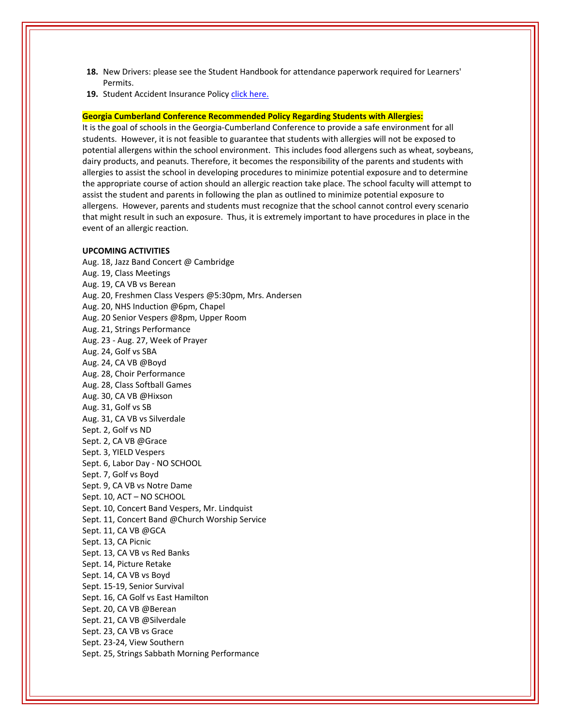- **18.** New Drivers: please see the Student Handbook for attendance paperwork required for Learners' Permits.
- 19. Student Accident Insurance Policy *click here.*

# **Georgia Cumberland Conference Recommended Policy Regarding Students with Allergies:**

It is the goal of schools in the Georgia‐Cumberland Conference to provide a safe environment for all students. However, it is not feasible to guarantee that students with allergies will not be exposed to potential allergens within the school environment. This includes food allergens such as wheat, soybeans, dairy products, and peanuts. Therefore, it becomes the responsibility of the parents and students with allergies to assist the school in developing procedures to minimize potential exposure and to determine the appropriate course of action should an allergic reaction take place. The school faculty will attempt to assist the student and parents in following the plan as outlined to minimize potential exposure to allergens. However, parents and students must recognize that the school cannot control every scenario that might result in such an exposure. Thus, it is extremely important to have procedures in place in the event of an allergic reaction.

#### **UPCOMING ACTIVITIES**

Aug. 18, Jazz Band Concert @ Cambridge Aug. 19, Class Meetings Aug. 19, CA VB vs Berean Aug. 20, Freshmen Class Vespers @5:30pm, Mrs. Andersen Aug. 20, NHS Induction @6pm, Chapel Aug. 20 Senior Vespers @8pm, Upper Room Aug. 21, Strings Performance Aug. 23 ‐ Aug. 27, Week of Prayer Aug. 24, Golf vs SBA Aug. 24, CA VB @Boyd Aug. 28, Choir Performance Aug. 28, Class Softball Games Aug. 30, CA VB @Hixson Aug. 31, Golf vs SB Aug. 31, CA VB vs Silverdale Sept. 2, Golf vs ND Sept. 2, CA VB @Grace Sept. 3, YIELD Vespers Sept. 6, Labor Day ‐ NO SCHOOL Sept. 7, Golf vs Boyd Sept. 9, CA VB vs Notre Dame Sept. 10, ACT – NO SCHOOL Sept. 10, Concert Band Vespers, Mr. Lindquist Sept. 11, Concert Band @Church Worship Service Sept. 11, CA VB @GCA Sept. 13, CA Picnic Sept. 13, CA VB vs Red Banks Sept. 14, Picture Retake Sept. 14, CA VB vs Boyd Sept. 15‐19, Senior Survival Sept. 16, CA Golf vs East Hamilton Sept. 20, CA VB @Berean Sept. 21, CA VB @Silverdale Sept. 23, CA VB vs Grace Sept. 23‐24, View Southern Sept. 25, Strings Sabbath Morning Performance